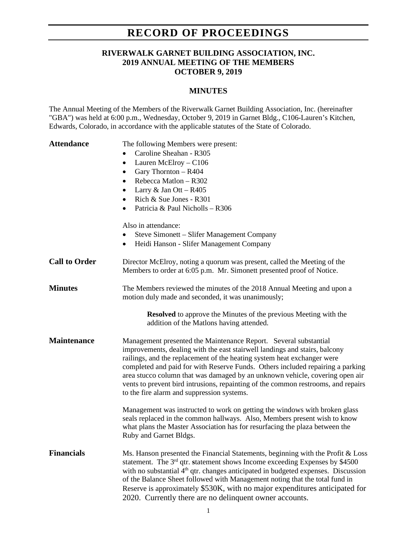# **RECORD OF PROCEEDINGS**

### **RIVERWALK GARNET BUILDING ASSOCIATION, INC. 2019 ANNUAL MEETING OF THE MEMBERS OCTOBER 9, 2019**

#### **MINUTES**

The Annual Meeting of the Members of the Riverwalk Garnet Building Association, Inc. (hereinafter "GBA") was held at 6:00 p.m., Wednesday, October 9, 2019 in Garnet Bldg., C106-Lauren's Kitchen, Edwards, Colorado, in accordance with the applicable statutes of the State of Colorado.

| <b>Attendance</b>    | The following Members were present:<br>Caroline Sheahan - R305<br>$\bullet$<br>Lauren McElroy - C106<br>$\bullet$<br>Gary Thornton - R404<br>$\bullet$<br>Rebecca Matlon - R302<br>$\bullet$<br>Larry $& Jan Ott - R405$<br>٠<br>Rich & Sue Jones - R301<br>$\bullet$<br>Patricia & Paul Nicholls - R306<br>$\bullet$<br>Also in attendance:                                                                                                                                                                                   |
|----------------------|--------------------------------------------------------------------------------------------------------------------------------------------------------------------------------------------------------------------------------------------------------------------------------------------------------------------------------------------------------------------------------------------------------------------------------------------------------------------------------------------------------------------------------|
|                      | Steve Simonett - Slifer Management Company<br>٠<br>Heidi Hanson - Slifer Management Company<br>$\bullet$                                                                                                                                                                                                                                                                                                                                                                                                                       |
| <b>Call to Order</b> | Director McElroy, noting a quorum was present, called the Meeting of the<br>Members to order at 6:05 p.m. Mr. Simonett presented proof of Notice.                                                                                                                                                                                                                                                                                                                                                                              |
| <b>Minutes</b>       | The Members reviewed the minutes of the 2018 Annual Meeting and upon a<br>motion duly made and seconded, it was unanimously;                                                                                                                                                                                                                                                                                                                                                                                                   |
|                      | <b>Resolved</b> to approve the Minutes of the previous Meeting with the<br>addition of the Matlons having attended.                                                                                                                                                                                                                                                                                                                                                                                                            |
| <b>Maintenance</b>   | Management presented the Maintenance Report. Several substantial<br>improvements, dealing with the east stairwell landings and stairs, balcony<br>railings, and the replacement of the heating system heat exchanger were<br>completed and paid for with Reserve Funds. Others included repairing a parking<br>area stucco column that was damaged by an unknown vehicle, covering open air<br>vents to prevent bird intrusions, repainting of the common restrooms, and repairs<br>to the fire alarm and suppression systems. |
|                      | Management was instructed to work on getting the windows with broken glass<br>seals replaced in the common hallways. Also, Members present wish to know<br>what plans the Master Association has for resurfacing the plaza between the<br>Ruby and Garnet Bldgs.                                                                                                                                                                                                                                                               |
| <b>Financials</b>    | Ms. Hanson presented the Financial Statements, beginning with the Profit & Loss<br>statement. The 3 <sup>rd</sup> qtr. statement shows Income exceeding Expenses by \$4500<br>with no substantial 4 <sup>th</sup> qtr. changes anticipated in budgeted expenses. Discussion<br>of the Balance Sheet followed with Management noting that the total fund in<br>Reserve is approximately \$530K, with no major expenditures anticipated for<br>2020. Currently there are no delinquent owner accounts.                           |